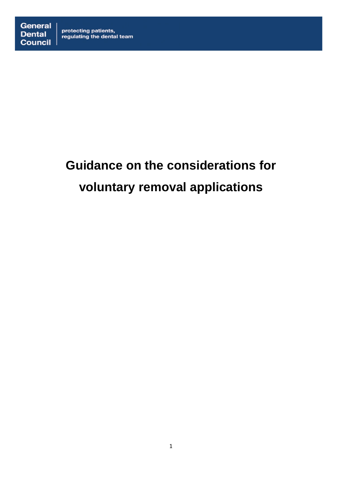## protecting patients,<br>regulating the dental team

# **Guidance on the considerations for voluntary removal applications**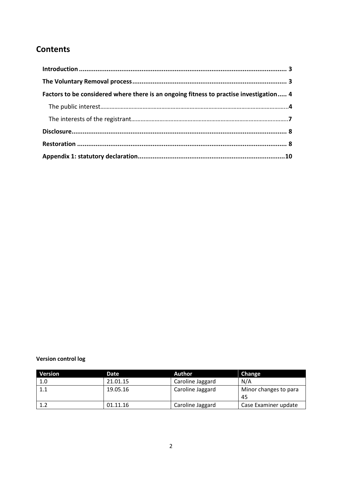### **Contents**

| Factors to be considered where there is an ongoing fitness to practise investigation 4 |  |
|----------------------------------------------------------------------------------------|--|
|                                                                                        |  |
|                                                                                        |  |
|                                                                                        |  |
|                                                                                        |  |
|                                                                                        |  |

#### **Version control log**

| Version | Date     | Author.          | Change                      |
|---------|----------|------------------|-----------------------------|
| 1.0     | 21.01.15 | Caroline Jaggard | N/A                         |
| 1.1     | 19.05.16 | Caroline Jaggard | Minor changes to para<br>45 |
| 1.2     | 01.11.16 | Caroline Jaggard | Case Examiner update        |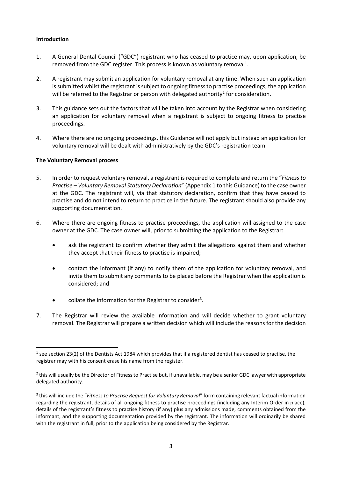#### <span id="page-2-0"></span>**Introduction**

- 1. A General Dental Council ("GDC") registrant who has ceased to practice may, upon application, be removed from the GDC register. This process is known as voluntary removal<sup>[1](#page-2-2)</sup>.
- 2. A registrant may submit an application for voluntary removal at any time. When such an application is submitted whilst the registrant is subject to ongoing fitness to practise proceedings, the application will be referred to the Registrar or person with delegated authority<sup>[2](#page-2-3)</sup> for consideration.
- 3. This guidance sets out the factors that will be taken into account by the Registrar when considering an application for voluntary removal when a registrant is subject to ongoing fitness to practise proceedings.
- 4. Where there are no ongoing proceedings, this Guidance will not apply but instead an application for voluntary removal will be dealt with administratively by the GDC's registration team.

#### <span id="page-2-1"></span>**The Voluntary Removal process**

- 5. In order to request voluntary removal, a registrant is required to complete and return the "*Fitness to Practise – Voluntary Removal Statutory Declaration*" (Appendix 1 to this Guidance) to the case owner at the GDC. The registrant will, via that statutory declaration, confirm that they have ceased to practise and do not intend to return to practice in the future. The registrant should also provide any supporting documentation.
- 6. Where there are ongoing fitness to practise proceedings, the application will assigned to the case owner at the GDC. The case owner will, prior to submitting the application to the Registrar:
	- ask the registrant to confirm whether they admit the allegations against them and whether they accept that their fitness to practise is impaired;
	- contact the informant (if any) to notify them of the application for voluntary removal, and invite them to submit any comments to be placed before the Registrar when the application is considered; and
	- collate the information for the Registrar to consider<sup>[3](#page-2-4)</sup>.
- 7. The Registrar will review the available information and will decide whether to grant voluntary removal. The Registrar will prepare a written decision which will include the reasons for the decision

<span id="page-2-2"></span><sup>&</sup>lt;sup>1</sup> see section 23(2) of the Dentists Act 1984 which provides that if a registered dentist has ceased to practise, the registrar may with his consent erase his name from the register.

<span id="page-2-3"></span><sup>&</sup>lt;sup>2</sup> this will usually be the Director of Fitness to Practise but, if unavailable, may be a senior GDC lawyer with appropriate delegated authority.

<span id="page-2-4"></span><sup>3</sup> this will include the "*Fitness to Practise Request for Voluntary Removal*" form containing relevant factual information regarding the registrant, details of all ongoing fitness to practise proceedings (including any Interim Order in place), details of the registrant's fitness to practise history (if any) plus any admissions made, comments obtained from the informant, and the supporting documentation provided by the registrant. The information will ordinarily be shared with the registrant in full, prior to the application being considered by the Registrar.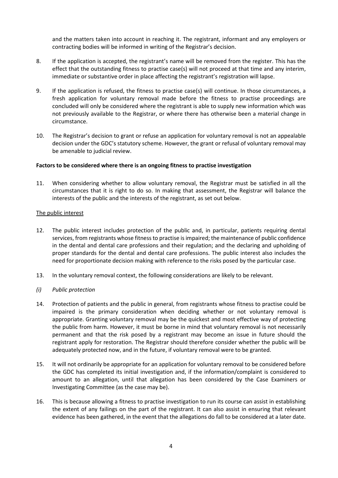and the matters taken into account in reaching it. The registrant, informant and any employers or contracting bodies will be informed in writing of the Registrar's decision.

- 8. If the application is accepted, the registrant's name will be removed from the register. This has the effect that the outstanding fitness to practise case(s) will not proceed at that time and any interim, immediate or substantive order in place affecting the registrant's registration will lapse.
- 9. If the application is refused, the fitness to practise case(s) will continue. In those circumstances, a fresh application for voluntary removal made before the fitness to practise proceedings are concluded will only be considered where the registrant is able to supply new information which was not previously available to the Registrar, or where there has otherwise been a material change in circumstance.
- 10. The Registrar's decision to grant or refuse an application for voluntary removal is not an appealable decision under the GDC's statutory scheme. However, the grant or refusal of voluntary removal may be amenable to judicial review.

#### <span id="page-3-0"></span>**Factors to be considered where there is an ongoing fitness to practise investigation**

11. When considering whether to allow voluntary removal, the Registrar must be satisfied in all the circumstances that it is right to do so. In making that assessment, the Registrar will balance the interests of the public and the interests of the registrant, as set out below.

#### <span id="page-3-1"></span>The public interest

- 12. The public interest includes protection of the public and, in particular, patients requiring dental services, from registrants whose fitness to practise is impaired; the maintenance of public confidence in the dental and dental care professions and their regulation; and the declaring and upholding of proper standards for the dental and dental care professions. The public interest also includes the need for proportionate decision making with reference to the risks posed by the particular case.
- 13. In the voluntary removal context, the following considerations are likely to be relevant.
- *(i) Public protection*
- 14. Protection of patients and the public in general, from registrants whose fitness to practise could be impaired is the primary consideration when deciding whether or not voluntary removal is appropriate. Granting voluntary removal may be the quickest and most effective way of protecting the public from harm. However, it must be borne in mind that voluntary removal is not necessarily permanent and that the risk posed by a registrant may become an issue in future should the registrant apply for restoration. The Registrar should therefore consider whether the public will be adequately protected now, and in the future, if voluntary removal were to be granted.
- 15. It will not ordinarily be appropriate for an application for voluntary removal to be considered before the GDC has completed its initial investigation and, if the information/complaint is considered to amount to an allegation, until that allegation has been considered by the Case Examiners or Investigating Committee (as the case may be).
- 16. This is because allowing a fitness to practise investigation to run its course can assist in establishing the extent of any failings on the part of the registrant. It can also assist in ensuring that relevant evidence has been gathered, in the event that the allegations do fall to be considered at a later date.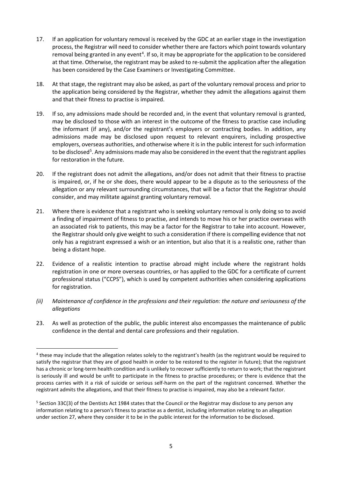- 17. If an application for voluntary removal is received by the GDC at an earlier stage in the investigation process, the Registrar will need to consider whether there are factors which point towards voluntary removal being granted in any event<sup>[4](#page-4-0)</sup>. If so, it may be appropriate for the application to be considered at that time. Otherwise, the registrant may be asked to re-submit the application after the allegation has been considered by the Case Examiners or Investigating Committee.
- 18. At that stage, the registrant may also be asked, as part of the voluntary removal process and prior to the application being considered by the Registrar, whether they admit the allegations against them and that their fitness to practise is impaired.
- 19. If so, any admissions made should be recorded and, in the event that voluntary removal is granted, may be disclosed to those with an interest in the outcome of the fitness to practise case including the informant (if any), and/or the registrant's employers or contracting bodies. In addition, any admissions made may be disclosed upon request to relevant enquirers, including prospective employers, overseas authorities, and otherwise where it is in the public interest for such information to be disclosed<sup>5</sup>. Any admissions made may also be considered in the event that the registrant applies for restoration in the future.
- 20. If the registrant does not admit the allegations, and/or does not admit that their fitness to practise is impaired, or, if he or she does, there would appear to be a dispute as to the seriousness of the allegation or any relevant surrounding circumstances, that will be a factor that the Registrar should consider, and may militate against granting voluntary removal.
- 21. Where there is evidence that a registrant who is seeking voluntary removal is only doing so to avoid a finding of impairment of fitness to practise, and intends to move his or her practice overseas with an associated risk to patients, this may be a factor for the Registrar to take into account. However, the Registrar should only give weight to such a consideration if there is compelling evidence that not only has a registrant expressed a wish or an intention, but also that it is a realistic one, rather than being a distant hope.
- 22. Evidence of a realistic intention to practise abroad might include where the registrant holds registration in one or more overseas countries, or has applied to the GDC for a certificate of current professional status ("CCPS"), which is used by competent authorities when considering applications for registration.
- *(ii) Maintenance of confidence in the professions and their regulation: the nature and seriousness of the allegations*
- 23. As well as protection of the public, the public interest also encompasses the maintenance of public confidence in the dental and dental care professions and their regulation.

 $\overline{a}$ 

<span id="page-4-0"></span><sup>4</sup> these may include that the allegation relates solely to the registrant's health (as the registrant would be required to satisfy the registrar that they are of good health in order to be restored to the register in future); that the registrant has a chronic or long-term health condition and is unlikely to recover sufficiently to return to work; that the registrant is seriously ill and would be unfit to participate in the fitness to practise procedures; or there is evidence that the process carries with it a risk of suicide or serious self-harm on the part of the registrant concerned. Whether the registrant admits the allegations, and that their fitness to practise is impaired, may also be a relevant factor.

<span id="page-4-1"></span><sup>&</sup>lt;sup>5</sup> Section 33C(3) of the Dentists Act 1984 states that the Council or the Registrar may disclose to any person any information relating to a person's fitness to practise as a dentist, including information relating to an allegation under section 27, where they consider it to be in the public interest for the information to be disclosed.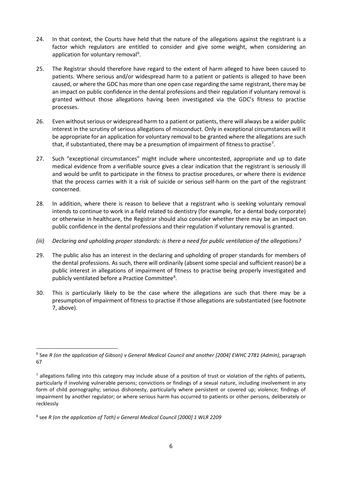- 24. In that context, the Courts have held that the nature of the allegations against the registrant is a factor which regulators are entitled to consider and give some weight, when considering an application for voluntary removal<sup>[6](#page-5-0)</sup>.
- 25. The Registrar should therefore have regard to the extent of harm alleged to have been caused to patients. Where serious and/or widespread harm to a patient or patients is alleged to have been caused, or where the GDC has more than one open case regarding the same registrant, there may be an impact on public confidence in the dental professions and their regulation if voluntary removal is granted without those allegations having been investigated via the GDC's fitness to practise processes.
- 26. Even without serious or widespread harm to a patient or patients, there will always be a wider public interest in the scrutiny of serious allegations of misconduct. Only in exceptional circumstances will it be appropriate for an application for voluntary removal to be granted where the allegations are such that, if substantiated, there may be a presumption of impairment of fitness to practise<sup>[7](#page-5-1)</sup>.
- 27. Such "exceptional circumstances" might include where uncontested, appropriate and up to date medical evidence from a verifiable source gives a clear indication that the registrant is seriously ill and would be unfit to participate in the fitness to practise procedures, or where there is evidence that the process carries with it a risk of suicide or serious self-harm on the part of the registrant concerned.
- 28. In addition, where there is reason to believe that a registrant who is seeking voluntary removal intends to continue to work in a field related to dentistry (for example, for a dental body corporate) or otherwise in healthcare, the Registrar should also consider whether there may be an impact on public confidence in the dental professions and their regulation if voluntary removal is granted.
- *(iii) Declaring and upholding proper standards: is there a need for public ventilation of the allegations?*
- 29. The public also has an interest in the declaring and upholding of proper standards for members of the dental professions. As such, there will ordinarily (absent some special and sufficient reason) be a public interest in allegations of impairment of fitness to practise being properly investigated and publicly ventilated before a Practice Committee<sup>[8](#page-5-2)</sup>.
- 30. This is particularly likely to be the case where the allegations are such that there may be a presumption of impairment of fitness to practise if those allegations are substantiated (see footnote 7, above).

<span id="page-5-0"></span> <sup>6</sup> See *R (on the application of Gibson) v General Medical Council and another [2004] EWHC 2781 (Admin)*, paragraph 67

<span id="page-5-1"></span> $<sup>7</sup>$  allegations falling into this category may include abuse of a position of trust or violation of the rights of patients,</sup> particularly if involving vulnerable persons; convictions or findings of a sexual nature, including involvement in any form of child pornography; serious dishonesty, particularly where persistent or covered up; violence; findings of impairment by another regulator; or where serious harm has occurred to patients or other persons, deliberately or recklessly

<span id="page-5-2"></span><sup>8</sup> see *R (on the application of Toth) v General Medical Council [2000] 1 WLR 2209*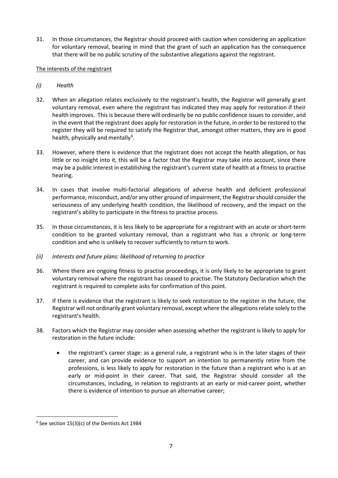31. In those circumstances, the Registrar should proceed with caution when considering an application for voluntary removal, bearing in mind that the grant of such an application has the consequence that there will be no public scrutiny of the substantive allegations against the registrant.

#### <span id="page-6-0"></span>The interests of the registrant

- *(i) Health*
- 32. When an allegation relates exclusively to the registrant's health, the Registrar will generally grant voluntary removal, even where the registrant has indicated they may apply for restoration if their health improves. This is because there will ordinarily be no public confidence issues to consider, and in the event that the registrant does apply for restoration in the future, in order to be restored to the register they will be required to satisfy the Registrar that, amongst other matters, they are in good health, physically and mentally<sup>[9](#page-6-1)</sup>.
- 33. However, where there is evidence that the registrant does not accept the health allegation, or has little or no insight into it, this will be a factor that the Registrar may take into account, since there may be a public interest in establishing the registrant's current state of health at a fitness to practise hearing.
- 34. In cases that involve multi-factorial allegations of adverse health and deficient professional performance, misconduct, and/or any other ground of impairment, the Registrar should consider the seriousness of any underlying health condition, the likelihood of recovery, and the impact on the registrant's ability to participate in the fitness to practise process.
- 35. In those circumstances, it is less likely to be appropriate for a registrant with an acute or short-term condition to be granted voluntary removal, than a registrant who has a chronic or long-term condition and who is unlikely to recover sufficiently to return to work.
- *(ii) Interests and future plans: likelihood of returning to practice*
- 36. Where there are ongoing fitness to practise proceedings, it is only likely to be appropriate to grant voluntary removal where the registrant has ceased to practise. The Statutory Declaration which the registrant is required to complete asks for confirmation of this point.
- 37. If there is evidence that the registrant is likely to seek restoration to the register in the future, the Registrar will not ordinarily grant voluntary removal, except where the allegationsrelate solely to the registrant's health.
- 38. Factors which the Registrar may consider when assessing whether the registrant is likely to apply for restoration in the future include:
	- the registrant's career stage: as a general rule, a registrant who is in the later stages of their career, and can provide evidence to support an intention to permanently retire from the professions, is less likely to apply for restoration in the future than a registrant who is at an early or mid-point in their career. That said, the Registrar should consider all the circumstances, including, in relation to registrants at an early or mid-career point, whether there is evidence of intention to pursue an alternative career;

<span id="page-6-1"></span> $9$  See section 15(3)(c) of the Dentists Act 1984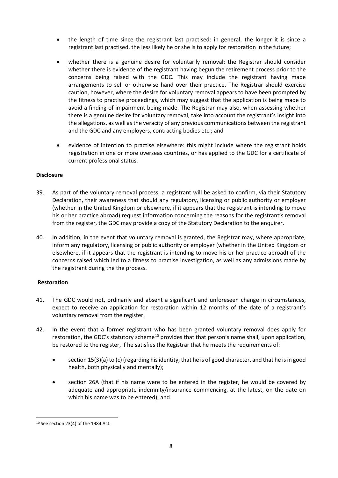- the length of time since the registrant last practised: in general, the longer it is since a registrant last practised, the less likely he or she is to apply for restoration in the future;
- whether there is a genuine desire for voluntarily removal: the Registrar should consider whether there is evidence of the registrant having begun the retirement process prior to the concerns being raised with the GDC. This may include the registrant having made arrangements to sell or otherwise hand over their practice. The Registrar should exercise caution, however, where the desire for voluntary removal appears to have been prompted by the fitness to practise proceedings, which may suggest that the application is being made to avoid a finding of impairment being made. The Registrar may also, when assessing whether there is a genuine desire for voluntary removal, take into account the registrant's insight into the allegations, as well as the veracity of any previous communications between the registrant and the GDC and any employers, contracting bodies etc.; and
- evidence of intention to practise elsewhere: this might include where the registrant holds registration in one or more overseas countries, or has applied to the GDC for a certificate of current professional status.

#### <span id="page-7-0"></span>**Disclosure**

- 39. As part of the voluntary removal process, a registrant will be asked to confirm, via their Statutory Declaration, their awareness that should any regulatory, licensing or public authority or employer (whether in the United Kingdom or elsewhere, if it appears that the registrant is intending to move his or her practice abroad) request information concerning the reasons for the registrant's removal from the register, the GDC may provide a copy of the Statutory Declaration to the enquirer.
- 40. In addition, in the event that voluntary removal is granted, the Registrar may, where appropriate, inform any regulatory, licensing or public authority or employer (whether in the United Kingdom or elsewhere, if it appears that the registrant is intending to move his or her practice abroad) of the concerns raised which led to a fitness to practise investigation, as well as any admissions made by the registrant during the the process.

#### <span id="page-7-1"></span>**Restoration**

- 41. The GDC would not, ordinarily and absent a significant and unforeseen change in circumstances, expect to receive an application for restoration within 12 months of the date of a registrant's voluntary removal from the register.
- 42. In the event that a former registrant who has been granted voluntary removal does apply for restoration, the GDC's statutory scheme<sup>[10](#page-7-2)</sup> provides that that person's name shall, upon application, be restored to the register, if he satisfies the Registrar that he meets the requirements of:
	- section 15(3)(a) to (c) (regarding his identity, that he is of good character, and that he is in good health, both physically and mentally);
	- section 26A (that if his name were to be entered in the register, he would be covered by adequate and appropriate indemnity/insurance commencing, at the latest, on the date on which his name was to be entered); and

<span id="page-7-2"></span> <sup>10</sup> See section 23(4) of the 1984 Act.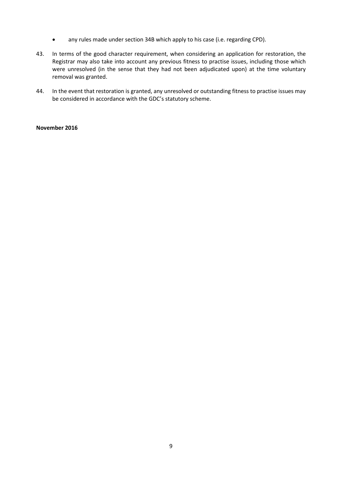- any rules made under section 34B which apply to his case (i.e. regarding CPD).
- 43. In terms of the good character requirement, when considering an application for restoration, the Registrar may also take into account any previous fitness to practise issues, including those which were unresolved (in the sense that they had not been adjudicated upon) at the time voluntary removal was granted.
- 44. In the event that restoration is granted, any unresolved or outstanding fitness to practise issues may be considered in accordance with the GDC's statutory scheme.

#### **November 2016**